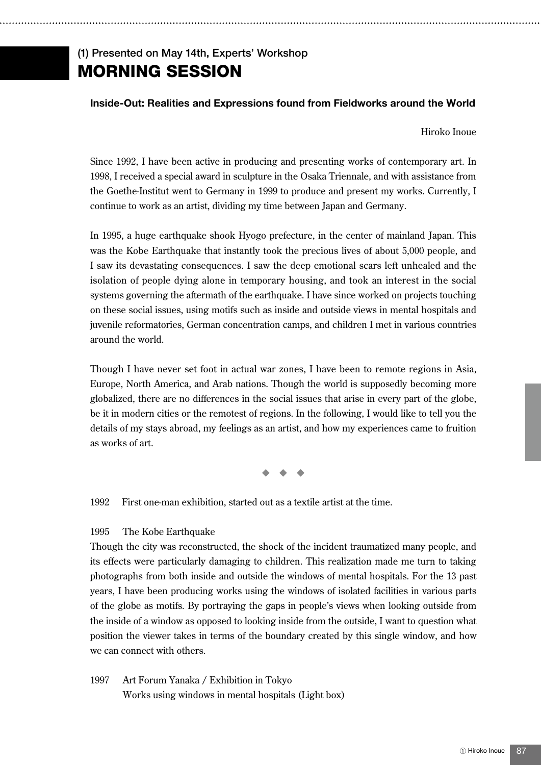## (1) Presented on May 14th, Experts' Workshop MORNING SESSION

## **Inside-Out: Realities and Expressions found from Fieldworks around the World**

Hiroko Inoue

Since 1992, I have been active in producing and presenting works of contemporary art. In 1998, I received a special award in sculpture in the Osaka Triennale, and with assistance from the Goethe-Institut went to Germany in 1999 to produce and present my works. Currently, I continue to work as an artist, dividing my time between Japan and Germany.

In 1995, a huge earthquake shook Hyogo prefecture, in the center of mainland Japan. This was the Kobe Earthquake that instantly took the precious lives of about 5,000 people, and I saw its devastating consequences. I saw the deep emotional scars left unhealed and the isolation of people dying alone in temporary housing, and took an interest in the social systems governing the aftermath of the earthquake. I have since worked on projects touching on these social issues, using motifs such as inside and outside views in mental hospitals and juvenile reformatories, German concentration camps, and children I met in various countries around the world.

Though I have never set foot in actual war zones, I have been to remote regions in Asia, Europe, North America, and Arab nations. Though the world is supposedly becoming more globalized, there are no differences in the social issues that arise in every part of the globe, be it in modern cities or the remotest of regions. In the following, I would like to tell you the details of my stays abroad, my feelings as an artist, and how my experiences came to fruition as works of art.

◆ ◆ ◆

1992 First one-man exhibition, started out as a textile artist at the time.

## 1995 The Kobe Earthquake

Though the city was reconstructed, the shock of the incident traumatized many people, and its effects were particularly damaging to children. This realization made me turn to taking photographs from both inside and outside the windows of mental hospitals. For the 13 past years, I have been producing works using the windows of isolated facilities in various parts of the globe as motifs. By portraying the gaps in people's views when looking outside from the inside of a window as opposed to looking inside from the outside, I want to question what position the viewer takes in terms of the boundary created by this single window, and how we can connect with others.

1997 Art Forum Yanaka / Exhibition in Tokyo Works using windows in mental hospitals (Light box)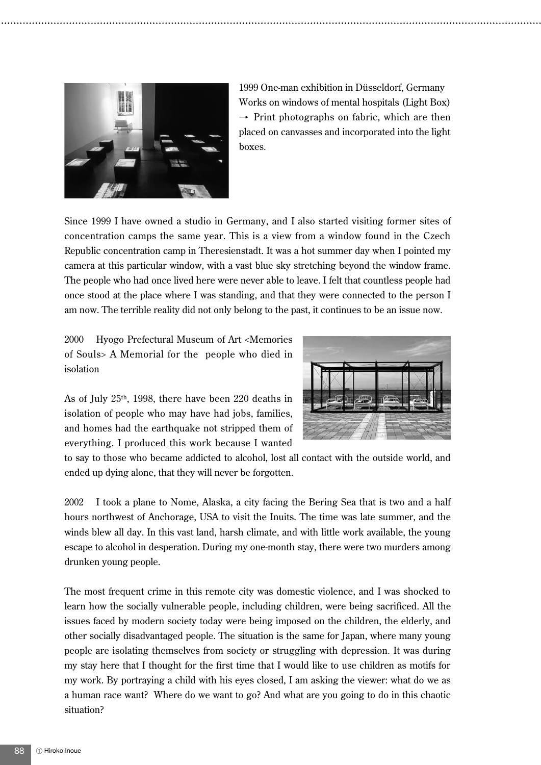

1999 One-man exhibition in Düsseldorf, Germany Works on windows of mental hospitals (Light Box)  $\rightarrow$  Print photographs on fabric, which are then placed on canvasses and incorporated into the light boxes.

Since 1999 I have owned a studio in Germany, and I also started visiting former sites of concentration camps the same year. This is a view from a window found in the Czech Republic concentration camp in Theresienstadt. It was a hot summer day when I pointed my camera at this particular window, with a vast blue sky stretching beyond the window frame. The people who had once lived here were never able to leave. I felt that countless people had once stood at the place where I was standing, and that they were connected to the person I am now. The terrible reality did not only belong to the past, it continues to be an issue now.

2000 Hyogo Prefectural Museum of Art <Memories of Souls> A Memorial for the people who died in isolation

As of July 25th, 1998, there have been 220 deaths in isolation of people who may have had jobs, families, and homes had the earthquake not stripped them of everything. I produced this work because I wanted



to say to those who became addicted to alcohol, lost all contact with the outside world, and ended up dying alone, that they will never be forgotten.

2002 I took a plane to Nome, Alaska, a city facing the Bering Sea that is two and a half hours northwest of Anchorage, USA to visit the Inuits. The time was late summer, and the winds blew all day. In this vast land, harsh climate, and with little work available, the young escape to alcohol in desperation. During my one-month stay, there were two murders among drunken young people.

The most frequent crime in this remote city was domestic violence, and I was shocked to learn how the socially vulnerable people, including children, were being sacrificed. All the issues faced by modern society today were being imposed on the children, the elderly, and other socially disadvantaged people. The situation is the same for Japan, where many young people are isolating themselves from society or struggling with depression. It was during my stay here that I thought for the first time that I would like to use children as motifs for my work. By portraying a child with his eyes closed, I am asking the viewer: what do we as a human race want? Where do we want to go? And what are you going to do in this chaotic situation?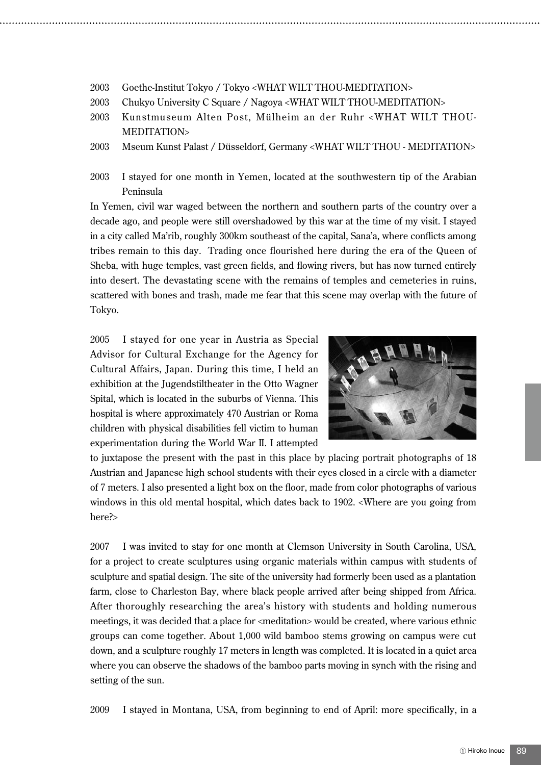- 2003 Goethe-Institut Tokyo / Tokyo <WHAT WILT THOU-MEDITATION>
- 2003 Chukyo University C Square / Nagoya <WHAT WILT THOU-MEDITATION>
- 2003 Kunstmuseum Alten Post, Mülheim an der Ruhr <WHAT WILT THOU-MEDITATION>
- 2003 Mseum Kunst Palast / Düsseldorf, Germany <WHAT WILT THOU MEDITATION>
- 2003 I stayed for one month in Yemen, located at the southwestern tip of the Arabian Peninsula

In Yemen, civil war waged between the northern and southern parts of the country over a decade ago, and people were still overshadowed by this war at the time of my visit. I stayed in a city called Ma'rib, roughly 300km southeast of the capital, Sana'a, where conflicts among tribes remain to this day. Trading once flourished here during the era of the Queen of Sheba, with huge temples, vast green fields, and flowing rivers, but has now turned entirely into desert. The devastating scene with the remains of temples and cemeteries in ruins, scattered with bones and trash, made me fear that this scene may overlap with the future of Tokyo.

2005 I stayed for one year in Austria as Special Advisor for Cultural Exchange for the Agency for Cultural Affairs, Japan. During this time, I held an exhibition at the Jugendstiltheater in the Otto Wagner Spital, which is located in the suburbs of Vienna. This hospital is where approximately 470 Austrian or Roma children with physical disabilities fell victim to human experimentation during the World War II. I attempted



to juxtapose the present with the past in this place by placing portrait photographs of 18 Austrian and Japanese high school students with their eyes closed in a circle with a diameter of 7 meters. I also presented a light box on the floor, made from color photographs of various windows in this old mental hospital, which dates back to 1902. <Where are you going from here?>

2007 I was invited to stay for one month at Clemson University in South Carolina, USA, for a project to create sculptures using organic materials within campus with students of sculpture and spatial design. The site of the university had formerly been used as a plantation farm, close to Charleston Bay, where black people arrived after being shipped from Africa. After thoroughly researching the area's history with students and holding numerous meetings, it was decided that a place for <meditation> would be created, where various ethnic groups can come together. About 1,000 wild bamboo stems growing on campus were cut down, and a sculpture roughly 17 meters in length was completed. It is located in a quiet area where you can observe the shadows of the bamboo parts moving in synch with the rising and setting of the sun.

2009 I stayed in Montana, USA, from beginning to end of April: more specifically, in a